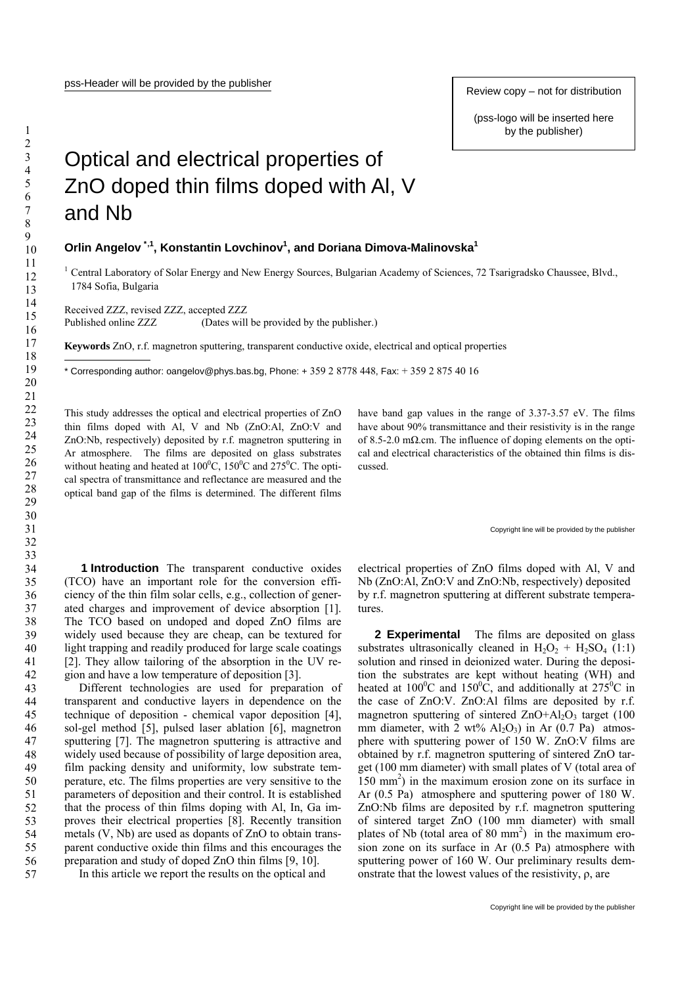## Optical and electrical properties of ZnO doped thin films doped with Al, V and Nb

## **Orlin Angelov [\\*](#page-0-0),1, Konstantin Lovchinov1 , and Doriana Dimova-Malinovska<sup>1</sup>**

<sup>1</sup> Central Laboratory of Solar Energy and New Energy Sources, Bulgarian Academy of Sciences, 72 Tsarigradsko Chaussee, Blvd., 1784 Sofia, Bulgaria

Received ZZZ, revised ZZZ, accepted ZZZ Published online ZZZ (Dates will be provided by the publisher.)

**Keywords** ZnO, r.f. magnetron sputtering, transparent conductive oxide, electrical and optical properties

<span id="page-0-0"></span>\* Corresponding author: oangelov@phys.bas.bg, Phone:  $+35928778448$ , Fax:  $+35928754016$ 

This study addresses the optical and electrical properties of ZnO thin films doped with Al, V and Nb (ZnO:Al, ZnO:V and ZnO:Nb, respectively) deposited by r.f. magnetron sputtering in Ar atmosphere. The films are deposited on glass substrates without heating and heated at  $100^{\circ}$ C,  $150^{\circ}$ C and  $275^{\circ}$ C. The optical spectra of transmittance and reflectance are measured and the optical band gap of the films is determined. The different films have band gap values in the range of 3.37-3.57 eV. The films have about 90% transmittance and their resistivity is in the range of 8.5-2.0 m $\Omega$ .cm. The influence of doping elements on the optical and electrical characteristics of the obtained thin films is discussed.

## Copyright line will be provided by the publisher

**1 Introduction** The transparent conductive oxides (TCO) have an important role for the conversion efficiency of the thin film solar cells, e.g., collection of generated charges and improvement of device absorption [1]. The TCO based on undoped and doped ZnO films are widely used because they are cheap, can be textured for light trapping and readily produced for large scale coatings [2]. They allow tailoring of the absorption in the UV region and have a low temperature of deposition [3].

 Different technologies are used for preparation of transparent and conductive layers in dependence on the technique of deposition - chemical vapor deposition [4], sol-gel method [5], pulsed laser ablation [6], magnetron sputtering [7]. The magnetron sputtering is attractive and widely used because of possibility of large deposition area, film packing density and uniformity, low substrate temperature, etc. The films properties are very sensitive to the parameters of deposition and their control. It is established that the process of thin films doping with Al, In, Ga improves their electrical properties [8]. Recently transition metals (V, Nb) are used as dopants of ZnO to obtain transparent conductive oxide thin films and this encourages the preparation and study of doped ZnO thin films [9, 10].

In this article we report the results on the optical and

electrical properties of ZnO films doped with Al, V and Nb (ZnO:Al, ZnO:V and ZnO:Nb, respectively) deposited by r.f. magnetron sputtering at different substrate temperatures.

**2 Experimental** The films are deposited on glass substrates ultrasonically cleaned in  $H_2O_2 + H_2SO_4$  (1:1) solution and rinsed in deionized water. During the deposition the substrates are kept without heating (WH) and heated at 100<sup>o</sup>C and 150<sup>o</sup>C, and additionally at 275<sup>o</sup>C in the case of ZnO:V. ZnO:Al films are deposited by r.f. magnetron sputtering of sintered  $ZnO+AI_2O_3$  target (100 mm diameter, with 2 wt%  $Al_2O_3$ ) in Ar (0.7 Pa) atmosphere with sputtering power of 150 W. ZnO:V films are obtained by r.f. magnetron sputtering of sintered ZnO target (100 mm diameter) with small plates of V (total area of 150 mm2 ) in the maximum erosion zone on its surface in Ar (0.5 Pa) atmosphere and sputtering power of 180 W. ZnO:Nb films are deposited by r.f. magnetron sputtering of sintered target ZnO (100 mm diameter) with small plates of Nb (total area of  $80 \text{ mm}^2$ ) in the maximum erosion zone on its surface in Ar (0.5 Pa) atmosphere with sputtering power of 160 W. Our preliminary results demonstrate that the lowest values of the resistivity, ρ, are

1 2

-

(pss-logo will be inserted here by the publisher)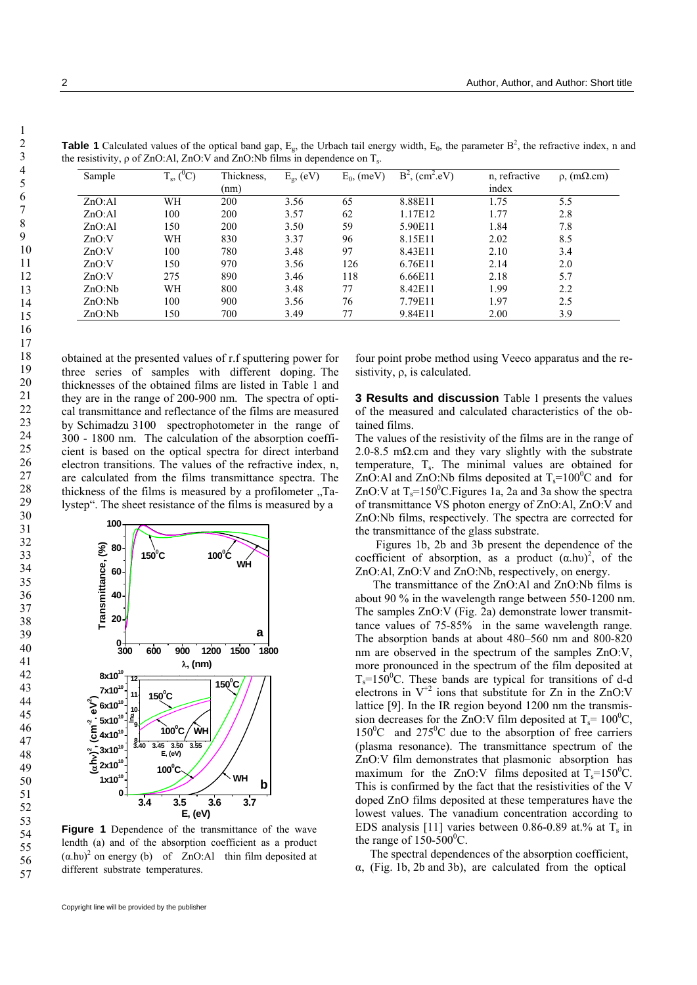| Sample | $T_s$ , $(^0C)$ | Thickness,<br>(nm) | $E_g$ , (eV) | $E_0$ , (meV) | $B^2$ , (cm <sup>2</sup> .eV) | n, refractive<br>index | $\rho$ , (m $\Omega$ .cm) |
|--------|-----------------|--------------------|--------------|---------------|-------------------------------|------------------------|---------------------------|
| ZnO:Al | WH              | 200                | 3.56         | 65            | 8.88E11                       | 1.75                   | 5.5                       |
| ZnO:Al | 100             | 200                | 3.57         | 62            | 1.17E12                       | 1.77                   | 2.8                       |
| ZnO:Al | 150             | 200                | 3.50         | 59            | 5.90E11                       | 1.84                   | 7.8                       |
| ZnO:V  | WH              | 830                | 3.37         | 96            | 8.15E11                       | 2.02                   | 8.5                       |
| ZnO:V  | 100             | 780                | 3.48         | 97            | 8.43E11                       | 2.10                   | 3.4                       |
| ZnO:V  | 150             | 970                | 3.56         | 126           | 6.76E11                       | 2.14                   | 2.0                       |
| ZnO:V  | 275             | 890                | 3.46         | 118           | 6.66E11                       | 2.18                   | 5.7                       |
| ZnO:Nb | WH              | 800                | 3.48         | 77            | 8.42E11                       | 1.99                   | 2.2                       |
| ZnO:Nb | 100             | 900                | 3.56         | 76            | 7.79E11                       | 1.97                   | 2.5                       |
| ZnO:Nb | l 50            | 700                | 3.49         | 77            | 9.84E11                       | 2.00                   | 3.9                       |

**Table 1** Calculated values of the optical band gap,  $E_g$ , the Urbach tail energy width,  $E_0$ , the parameter  $B^2$ , the refractive index, n and the resistivity, ρ of ZnO:Al, ZnO:V and ZnO:Nb films in dependence on T<sub>s</sub>.

obtained at the presented values of r.f sputtering power for three series of samples with different doping. The thicknesses of the obtained films are listed in Table 1 and they are in the range of 200-900 nm. The spectra of optical transmittance and reflectance of the films are measured by Schimadzu 3100 spectrophotometer in the range of 300 - 1800 nm. The calculation of the absorption coefficient is based on the optical spectra for direct interband electron transitions. The values of the refractive index, n, are calculated from the films transmittance spectra. The thickness of the films is measured by a profilometer  $T_a$ lystep". The sheet resistance of the films is measured by a



**Figure 1** Dependence of the transmittance of the wave lendth (a) and of the absorption coefficient as a product  $(\alpha \cdot h \cdot v)^2$  on energy (b) of ZnO:Al thin film deposited at different substrate temperatures.

 sistivity, ρ, is calculated. four point probe method using Veeco apparatus and the re-

**3 Results and discussion** Table 1 presents the values of the measured and calculated characteristics of the obtained films.

The values of the resistivity of the films are in the range of 2.0-8.5 m $\Omega$ .cm and they vary slightly with the substrate temperature,  $T_s$ . The minimal values are obtained for ZnO:Al and ZnO:Nb films deposited at  $T_s = 100^{\circ}$ C and for ZnO:V at  $T_s = 150^{\circ}$ C. Figures 1a, 2a and 3a show the spectra of transmittance VS photon energy of ZnO:Al, ZnO:V and ZnO:Nb films, respectively. The spectra are corrected for the transmittance of the glass substrate.

 Figures 1b, 2b and 3b present the dependence of the coefficient of absorption, as a product  $(\alpha \cdot h\nu)^2$ , of the ZnO:Al, ZnO:V and ZnO:Nb, respectively, on energy.

 The transmittance of the ZnO:Al and ZnO:Nb films is about 90 % in the wavelength range between 550-1200 nm. The samples ZnO:V (Fig. 2a) demonstrate lower transmittance values of 75-85% in the same wavelength range. The absorption bands at about 480–560 nm and 800-820 nm are observed in the spectrum of the samples ZnO:V, more pronounced in the spectrum of the film deposited at  $T_s = 150^{\circ}$ C. These bands are typical for transitions of d-d electrons in  $V^{+2}$  ions that substitute for Zn in the ZnO:V lattice [9]. In the IR region beyond 1200 nm the transmission decreases for the ZnO:V film deposited at  $T_s = 100^{\circ}C$ ,  $150^{\circ}$ C and  $275^{\circ}$ C due to the absorption of free carriers (plasma resonance). The transmittance spectrum of the ZnO:V film demonstrates that plasmonic absorption has maximum for the ZnO:V films deposited at  $T_s = 150^{\circ}$ C. This is confirmed by the fact that the resistivities of the V doped ZnO films deposited at these temperatures have the lowest values. The vanadium concentration according to EDS analysis [11] varies between 0.86-0.89 at.% at  $T_s$  in the range of  $150-500^{\circ}$ C.

 The spectral dependences of the absorption coefficient, α, (Fig. 1b, 2b and 3b), are calculated from the optical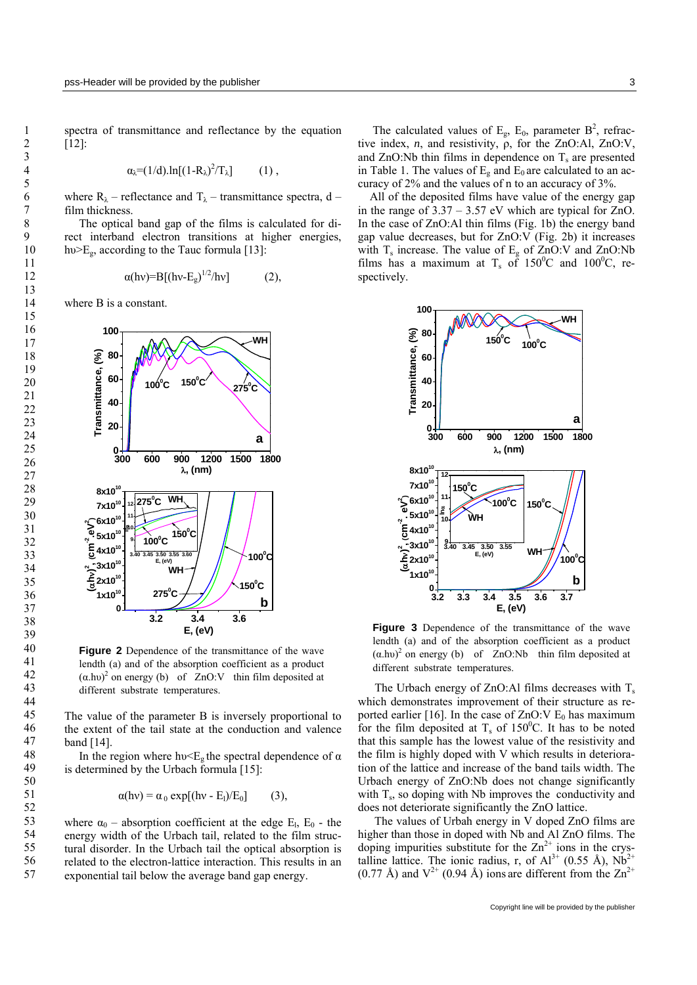spectra of transmittance and reflectance by the equation [12]:

$$
\alpha_{\lambda} = (1/d).\ln[(1-R_{\lambda})^2/T_{\lambda}] \qquad (1) ,
$$

where  $R_{\lambda}$  – reflectance and  $T_{\lambda}$  – transmittance spectra, d – film thickness.

 The optical band gap of the films is calculated for direct interband electron transitions at higher energies, hv $>E_{\alpha}$ , according to the Tauc formula [13]:

$$
\alpha(hv)=B[(hv-E_g)^{1/2}/hv] \qquad (2),
$$

where B is a constant.



**Figure 2** Dependence of the transmittance of the wave lendth (a) and of the absorption coefficient as a product  $(a.hv)^2$  on energy (b) of ZnO:V thin film deposited at different substrate temperatures.

The value of the parameter B is inversely proportional to the extent of the tail state at the conduction and valence band [14].

In the region where  $hv \leq E_g$  the spectral dependence of  $\alpha$ is determined by the Urbach formula [15]:

$$
\alpha(hv) = \alpha_0 \exp[(hv - E_l)/E_0] \qquad (3),
$$

where  $\alpha_0$  – absorption coefficient at the edge E<sub>l</sub>, E<sub>0</sub> - the energy width of the Urbach tail, related to the film structural disorder. In the Urbach tail the optical absorption is related to the electron-lattice interaction. This results in an exponential tail below the average band gap energy.

The calculated values of  $E_g$ ,  $E_0$ , parameter  $B^2$ , refractive index, *n*, and resistivity, ρ, for the ZnO:Al, ZnO:V, and  $ZnO:Nb$  thin films in dependence on  $T_s$  are presented in Table 1. The values of  $E<sub>g</sub>$  and  $E<sub>0</sub>$  are calculated to an accuracy of 2% and the values of n to an accuracy of 3%.

 All of the deposited films have value of the energy gap in the range of  $3.37 - 3.57$  eV which are typical for ZnO. In the case of ZnO:Al thin films (Fig. 1b) the energy band gap value decreases, but for ZnO:V (Fig. 2b) it increases with  $T_s$  increase. The value of  $E_g$  of ZnO:V and ZnO:Nb films has a maximum at  $T_s$  of 150<sup>o</sup>C and 100<sup>o</sup>C, respectively.



**Figure 3** Dependence of the transmittance of the wave lendth (a) and of the absorption coefficient as a product  $(a.hv)^2$  on energy (b) of ZnO:Nb thin film deposited at different substrate temperatures.

The Urbach energy of  $ZnO$ :Al films decreases with  $T_s$ which demonstrates improvement of their structure as reported earlier [16]. In the case of  $ZnO:V E_0$  has maximum for the film deposited at  $T_s$  of 150<sup>0</sup>C. It has to be noted that this sample has the lowest value of the resistivity and the film is highly doped with V which results in deterioration of the lattice and increase of the band tails width. The Urbach energy of ZnO:Nb does not change significantly with  $T_s$ , so doping with Nb improves the conductivity and does not deteriorate significantly the ZnO lattice.

The values of Urbah energy in V doped ZnO films are higher than those in doped with Nb and Al ZnO films. The doping impurities substitute for the  $\text{Zn}^{2+}$  ions in the crystalline lattice. The ionic radius, r, of  $Al^{3+}$  (0.55 Å),  $Nb^{2+}$  $(0.77 \text{ Å})$  and  $V^{2+}$   $(0.94 \text{ Å})$  ions are different from the  $Zn^{2+}$